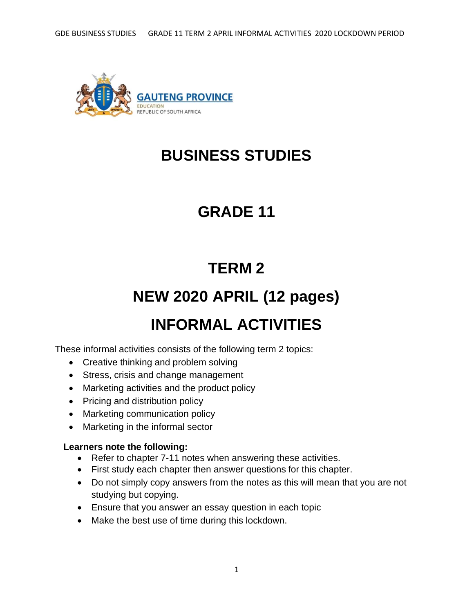

# **BUSINESS STUDIES**

# **GRADE 11**

# **TERM 2**

# **NEW 2020 APRIL (12 pages)**

# **INFORMAL ACTIVITIES**

These informal activities consists of the following term 2 topics:

- Creative thinking and problem solving
- Stress, crisis and change management
- Marketing activities and the product policy
- Pricing and distribution policy
- Marketing communication policy
- Marketing in the informal sector

## **Learners note the following:**

- Refer to chapter 7-11 notes when answering these activities.
- First study each chapter then answer questions for this chapter.
- Do not simply copy answers from the notes as this will mean that you are not studying but copying.
- Ensure that you answer an essay question in each topic
- Make the best use of time during this lockdown.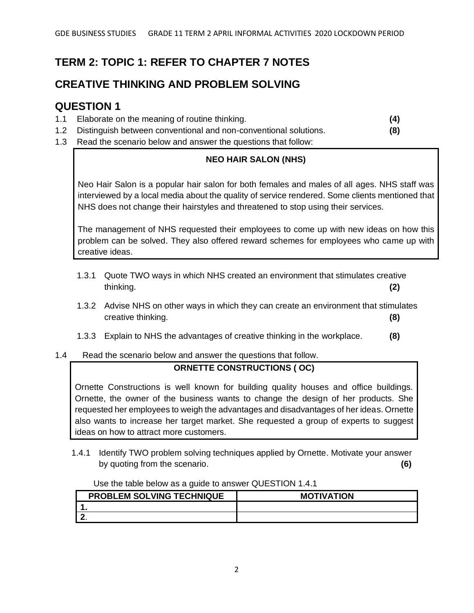# **TERM 2: TOPIC 1: REFER TO CHAPTER 7 NOTES**

# **CREATIVE THINKING AND PROBLEM SOLVING**

# **QUESTION 1**

- 1.1 Elaborate on the meaning of routine thinking. **(4)**
- 1.2 Distinguish between conventional and non-conventional solutions. **(8)**
- 1.3 Read the scenario below and answer the questions that follow:

## **NEO HAIR SALON (NHS)**

Neo Hair Salon is a popular hair salon for both females and males of all ages. NHS staff was interviewed by a local media about the quality of service rendered. Some clients mentioned that NHS does not change their hairstyles and threatened to stop using their services.

The management of NHS requested their employees to come up with new ideas on how this problem can be solved. They also offered reward schemes for employees who came up with creative ideas.

- 1.3.1 Quote TWO ways in which NHS created an environment that stimulates creative thinking. **(2)**
- 1.3.2 Advise NHS on other ways in which they can create an environment that stimulates creative thinking. **(8)**
- 1.3.3 Explain to NHS the advantages of creative thinking in the workplace. **(8)**
- 1.4 Read the scenario below and answer the questions that follow.

## **ORNETTE CONSTRUCTIONS ( OC)**

Ornette Constructions is well known for building quality houses and office buildings. Ornette, the owner of the business wants to change the design of her products. She requested her employees to weigh the advantages and disadvantages of her ideas. Ornette also wants to increase her target market. She requested a group of experts to suggest ideas on how to attract more customers.

1.4.1 Identify TWO problem solving techniques applied by Ornette. Motivate your answer by quoting from the scenario. **(6)**

| $\frac{1}{2}$                    |                   |
|----------------------------------|-------------------|
| <b>PROBLEM SOLVING TECHNIQUE</b> | <b>MOTIVATION</b> |
|                                  |                   |
|                                  |                   |

Use the table below as a guide to answer QUESTION 1.4.1.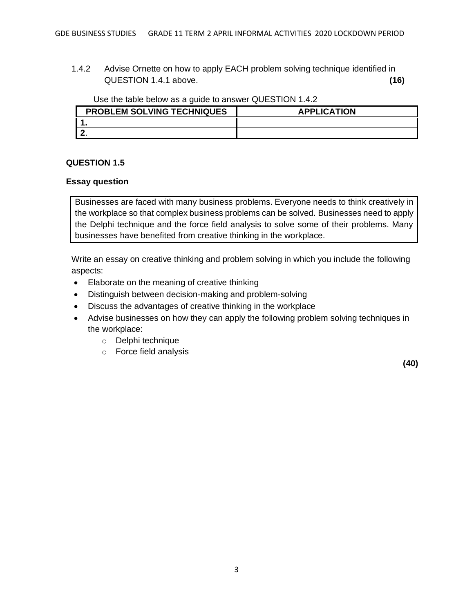1.4.2 Advise Ornette on how to apply EACH problem solving technique identified in QUESTION 1.4.1 above. **(16)**

Use the table below as a guide to answer QUESTION 1.4.2

| <b>PROBLEM SOLVING TECHNIQUES</b> | <b>APPLICATION</b> |
|-----------------------------------|--------------------|
|                                   |                    |
|                                   |                    |

#### **QUESTION 1.5**

#### **Essay question**

Businesses are faced with many business problems. Everyone needs to think creatively in the workplace so that complex business problems can be solved. Businesses need to apply the Delphi technique and the force field analysis to solve some of their problems. Many businesses have benefited from creative thinking in the workplace.

Write an essay on creative thinking and problem solving in which you include the following aspects:

- Elaborate on the meaning of creative thinking
- Distinguish between decision-making and problem-solving
- Discuss the advantages of creative thinking in the workplace
- Advise businesses on how they can apply the following problem solving techniques in the workplace:
	- o Delphi technique
	- o Force field analysis

**(40)**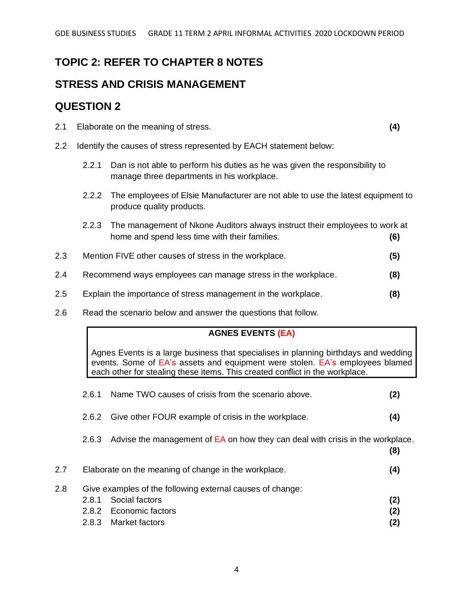# **TOPIC 2: REFER TO CHAPTER 8 NOTES**

## **STRESS AND CRISIS MANAGEMENT**

## **QUESTION 2**

- 2.1 Elaborate on the meaning of stress. **(4)**
- 2.2 Identify the causes of stress represented by EACH statement below:
	- 2.2.1 Dan is not able to perform his duties as he was given the responsibility to manage three departments in his workplace.
	- 2.2.2 The employees of Elsie Manufacturer are not able to use the latest equipment to produce quality products.
	- 2.2.3 The management of Nkone Auditors always instruct their employees to work at home and spend less time with their families. **(6)**
- 2.3 Mention FIVE other causes of stress in the workplace. **(5)**
- 2.4 Recommend ways employees can manage stress in the workplace. **(8)**
- 2.5 Explain the importance of stress management in the workplace. **(8)**
- 2.6 Read the scenario below and answer the questions that follow.

### **AGNES EVENTS (EA)**

Agnes Events is a large business that specialises in planning birthdays and wedding events. Some of EA's assets and equipment were stolen. EA's employees blamed each other for stealing these items. This created conflict in the workplace.

2.6.1 Name TWO causes of crisis from the scenario above. **(2)** 2.6.2 Give other FOUR example of crisis in the workplace. **(4)** 2.6.3 Advise the management of EA on how they can deal with crisis in the workplace. **(8)** 2.7 Elaborate on the meaning of change in the workplace. **(4)** 2.8 Give examples of the following external causes of change: 2.8.1 Social factors **(2)** 2.8.2 Economic factors **(2)** 2.8.3 Market factors **(2)**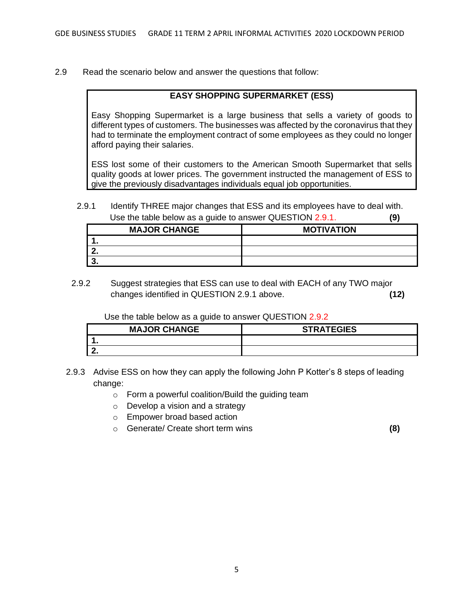2.9 Read the scenario below and answer the questions that follow:

#### **EASY SHOPPING SUPERMARKET (ESS)**

Easy Shopping Supermarket is a large business that sells a variety of goods to different types of customers. The businesses was affected by the coronavirus that they had to terminate the employment contract of some employees as they could no longer afford paying their salaries.

ESS lost some of their customers to the American Smooth Supermarket that sells quality goods at lower prices. The government instructed the management of ESS to give the previously disadvantages individuals equal job opportunities.

2.9.1 Identify THREE major changes that ESS and its employees have to deal with. Use the table below as a guide to answer QUESTION 2.9.1. **(9)**

| <b>MAJOR CHANGE</b> | <b>MOTIVATION</b> |
|---------------------|-------------------|
| . .                 |                   |
| . .                 |                   |
| J.                  |                   |

2.9.2 Suggest strategies that ESS can use to deal with EACH of any TWO major changes identified in QUESTION 2.9.1 above. **(12)**

Use the table below as a guide to answer QUESTION 2.9.2

| <b>MAJOR CHANGE</b> | <b>STRATEGIES</b> |
|---------------------|-------------------|
|                     |                   |
|                     |                   |

- 2.9.3 Advise ESS on how they can apply the following John P Kotter's 8 steps of leading change:
	- o Form a powerful coalition/Build the guiding team
	- o Develop a vision and a strategy
	- o Empower broad based action
	- o Generate/ Create short term wins **(8)**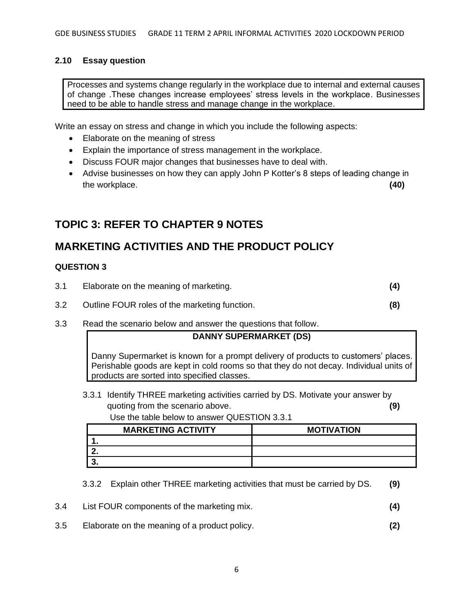#### **2.10 Essay question**

Processes and systems change regularly in the workplace due to internal and external causes of change .These changes increase employees' stress levels in the workplace. Businesses need to be able to handle stress and manage change in the workplace.

Write an essay on stress and change in which you include the following aspects:

- Elaborate on the meaning of stress
- Explain the importance of stress management in the workplace.
- Discuss FOUR major changes that businesses have to deal with.
- Advise businesses on how they can apply John P Kotter's 8 steps of leading change in the workplace. **(40)**

## **TOPIC 3: REFER TO CHAPTER 9 NOTES**

## **MARKETING ACTIVITIES AND THE PRODUCT POLICY**

#### **QUESTION 3**

| 3.1<br>Elaborate on the meaning of marketing. |  |
|-----------------------------------------------|--|
|-----------------------------------------------|--|

- 3.2 Outline FOUR roles of the marketing function. **(8)**
- 3.3 Read the scenario below and answer the questions that follow.

### **DANNY SUPERMARKET (DS)**

Danny Supermarket is known for a prompt delivery of products to customers' places. Perishable goods are kept in cold rooms so that they do not decay. Individual units of products are sorted into specified classes.

3.3.1 Identify THREE marketing activities carried by DS. Motivate your answer by quoting from the scenario above. **(9)**

Use the table below to answer QUESTION 3.3.1

| <b>MARKETING ACTIVITY</b> | <b>MOTIVATION</b> |
|---------------------------|-------------------|
|                           |                   |
|                           |                   |
|                           |                   |

3.3.2 Explain other THREE marketing activities that must be carried by DS. **(9)**

- 3.4 List FOUR components of the marketing mix. **(4)**
- 3.5 Elaborate on the meaning of a product policy. **(2)**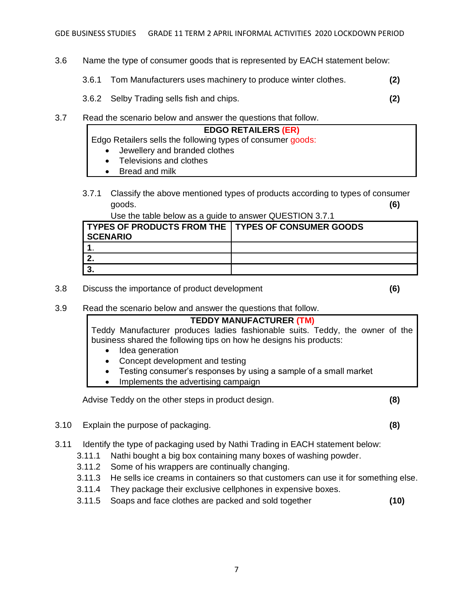- 3.6 Name the type of consumer goods that is represented by EACH statement below:
	- 3.6.1 Tom Manufacturers uses machinery to produce winter clothes. **(2)**
	- 3.6.2 Selby Trading sells fish and chips. **(2)**
- 3.7 Read the scenario below and answer the questions that follow.
	- **EDGO RETAILERS (ER)**
	- Edgo Retailers sells the following types of consumer goods:
		- Jewellery and branded clothes
		- Televisions and clothes
		- Bread and milk
	- 3.7.1 Classify the above mentioned types of products according to types of consumer goods. **(6)**

Use the table below as a guide to answer QUESTION 3.7.1

| TYPES OF PRODUCTS FROM THE I TYPES OF CONSUMER GOODS |  |
|------------------------------------------------------|--|
| <b>SCENARIO</b>                                      |  |
|                                                      |  |
|                                                      |  |
|                                                      |  |

3.8 Discuss the importance of product development **(6)**

3.9 Read the scenario below and answer the questions that follow.

### **TEDDY MANUFACTURER (TM)** Teddy Manufacturer produces ladies fashionable suits. Teddy, the owner of the business shared the following tips on how he designs his products:

- Idea generation
- Concept development and testing
- Testing consumer's responses by using a sample of a small market
- Implements the advertising campaign

Advise Teddy on the other steps in product design. **(8)**

- 3.10 Explain the purpose of packaging. **(8)**
- 3.11 Identify the type of packaging used by Nathi Trading in EACH statement below:
	- 3.11.1 Nathi bought a big box containing many boxes of washing powder.
	- 3.11.2 Some of his wrappers are continually changing.
	- 3.11.3 He sells ice creams in containers so that customers can use it for something else.
	- 3.11.4 They package their exclusive cellphones in expensive boxes.
	- 3.11.5 Soaps and face clothes are packed and sold together **(10)**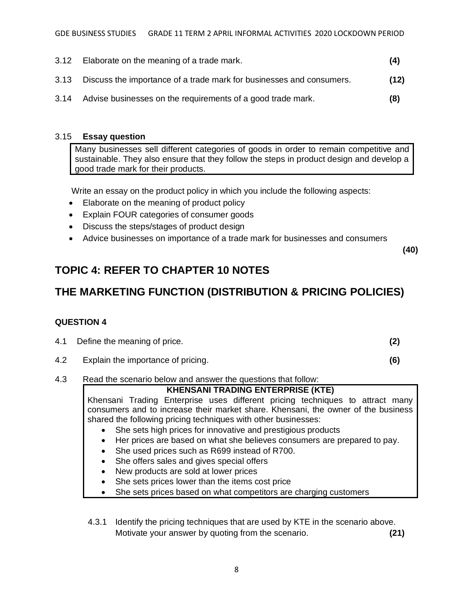- 3.12 Elaborate on the meaning of a trade mark. **(4)**
- 3.13 Discuss the importance of a trade mark for businesses and consumers. **(12)**
- 3.14 Advise businesses on the requirements of a good trade mark. **(8)**

#### 3.15 **Essay question**

Many businesses sell different categories of goods in order to remain competitive and sustainable. They also ensure that they follow the steps in product design and develop a good trade mark for their products.

Write an essay on the product policy in which you include the following aspects:

- Elaborate on the meaning of product policy
- Explain FOUR categories of consumer goods
- Discuss the steps/stages of product design
- Advice businesses on importance of a trade mark for businesses and consumers

 **(40)**

# **TOPIC 4: REFER TO CHAPTER 10 NOTES**

# **THE MARKETING FUNCTION (DISTRIBUTION & PRICING POLICIES)**

### **QUESTION 4**

|  | 4.1 Define the meaning of price. |  |
|--|----------------------------------|--|
|--|----------------------------------|--|

- 4.2 Explain the importance of pricing. **(6)**
- 4.3 Read the scenario below and answer the questions that follow:

## **KHENSANI TRADING ENTERPRISE (KTE)**

Khensani Trading Enterprise uses different pricing techniques to attract many consumers and to increase their market share. Khensani, the owner of the business shared the following pricing techniques with other businesses:

- She sets high prices for innovative and prestigious products
- Her prices are based on what she believes consumers are prepared to pay.
- She used prices such as R699 instead of R700.
- She offers sales and gives special offers
- New products are sold at lower prices
- She sets prices lower than the items cost price
- She sets prices based on what competitors are charging customers

4.3.1 Identify the pricing techniques that are used by KTE in the scenario above. Motivate your answer by quoting from the scenario. **(21)**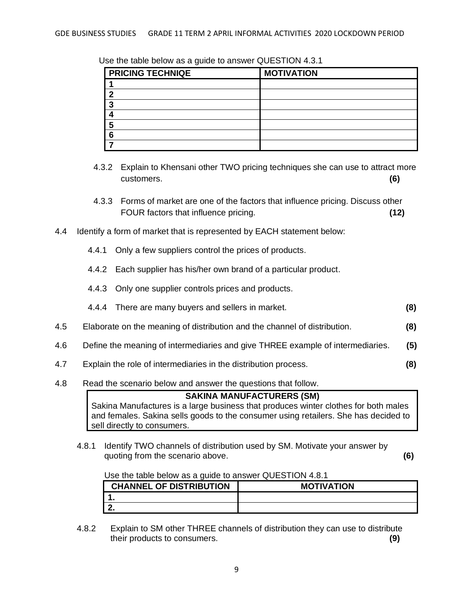| <b>PRICING TECHNIQE</b> | <b>MOTIVATION</b> |
|-------------------------|-------------------|
|                         |                   |
| n                       |                   |
|                         |                   |
|                         |                   |
| г,                      |                   |
| c                       |                   |
|                         |                   |

Use the table below as a guide to answer QUESTION 4.3.1

- 4.3.2 Explain to Khensani other TWO pricing techniques she can use to attract more customers. **(6)**
- 4.3.3 Forms of market are one of the factors that influence pricing. Discuss other FOUR factors that influence pricing. **(12)**
- 4.4 Identify a form of market that is represented by EACH statement below:
	- 4.4.1 Only a few suppliers control the prices of products.
	- 4.4.2 Each supplier has his/her own brand of a particular product.
	- 4.4.3 Only one supplier controls prices and products.
	- 4.4.4 There are many buyers and sellers in market. **(8)**
- 4.5 Elaborate on the meaning of distribution and the channel of distribution. **(8)**
- 4.6 Define the meaning of intermediaries and give THREE example of intermediaries. **(5)**
- 4.7 Explain the role of intermediaries in the distribution process. **(8)**
- 4.8 Read the scenario below and answer the questions that follow.

**SAKINA MANUFACTURERS (SM)** Sakina Manufactures is a large business that produces winter clothes for both males and females. Sakina sells goods to the consumer using retailers. She has decided to sell directly to consumers.

4.8.1 Identify TWO channels of distribution used by SM. Motivate your answer by quoting from the scenario above. **(6)**

Use the table below as a guide to answer QUESTION 4.8.1

| <b>CHANNEL OF DISTRIBUTION</b> | <b>MOTIVATION</b> |
|--------------------------------|-------------------|
|                                |                   |
| . .                            |                   |

4.8.2 Explain to SM other THREE channels of distribution they can use to distribute their products to consumers. **(9)**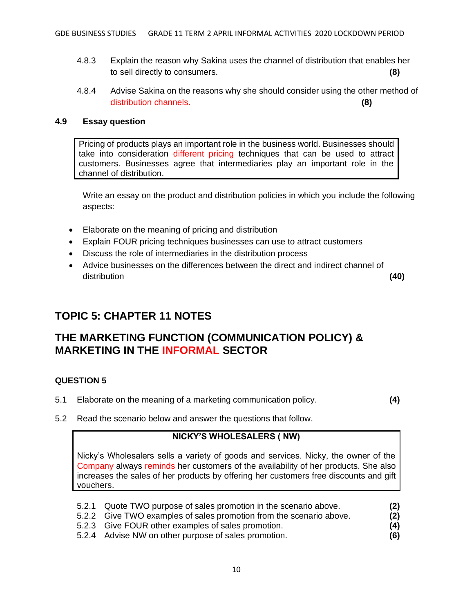- 4.8.3 Explain the reason why Sakina uses the channel of distribution that enables her to sell directly to consumers. **(8)**
- 4.8.4 Advise Sakina on the reasons why she should consider using the other method of distribution channels. **(8)**

#### **4.9 Essay question**

Pricing of products plays an important role in the business world. Businesses should take into consideration different pricing techniques that can be used to attract customers. Businesses agree that intermediaries play an important role in the channel of distribution.

Write an essay on the product and distribution policies in which you include the following aspects:

- Elaborate on the meaning of pricing and distribution
- Explain FOUR pricing techniques businesses can use to attract customers
- Discuss the role of intermediaries in the distribution process
- Advice businesses on the differences between the direct and indirect channel of distribution **(40)**

# **TOPIC 5: CHAPTER 11 NOTES**

## **THE MARKETING FUNCTION (COMMUNICATION POLICY) & MARKETING IN THE INFORMAL SECTOR**

### **QUESTION 5**

5.1 Elaborate on the meaning of a marketing communication policy. **(4)**

5.2 Read the scenario below and answer the questions that follow.

### **NICKY'S WHOLESALERS ( NW)**

Nicky's Wholesalers sells a variety of goods and services. Nicky, the owner of the Company always reminds her customers of the availability of her products. She also increases the sales of her products by offering her customers free discounts and gift vouchers.

- 5.2.1 Quote TWO purpose of sales promotion in the scenario above. **(2)**
- 5.2.2 Give TWO examples of sales promotion from the scenario above. **(2)**
- 5.2.3 Give FOUR other examples of sales promotion. **(4)**
- 5.2.4 Advise NW on other purpose of sales promotion. **(6)**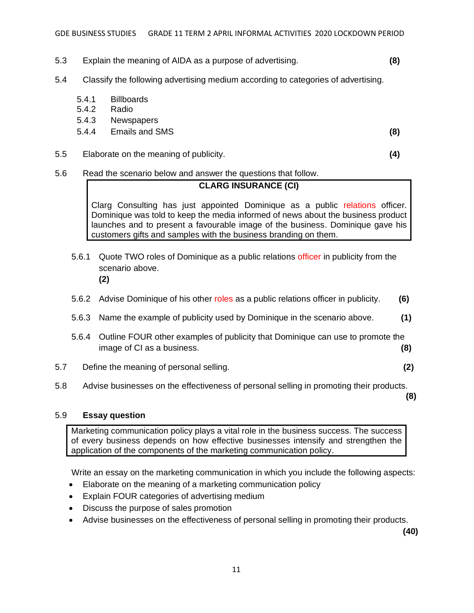- 5.3 Explain the meaning of AIDA as a purpose of advertising. **(8)**
- 5.4 Classify the following advertising medium according to categories of advertising.
	- 5.4.1 Billboards
	- 5.4.2 Radio
	- 5.4.3 Newspapers
	- 5.4.4 Emails and SMS **(8)**

5.5 Elaborate on the meaning of publicity. **(4)**

5.6 Read the scenario below and answer the questions that follow.

#### **CLARG INSURANCE (CI)**

Clarg Consulting has just appointed Dominique as a public relations officer. Dominique was told to keep the media informed of news about the business product launches and to present a favourable image of the business. Dominique gave his customers gifts and samples with the business branding on them.

- 5.6.1 Quote TWO roles of Dominique as a public relations officer in publicity from the scenario above. **(2)**
- 5.6.2 Advise Dominique of his other roles as a public relations officer in publicity. **(6)**
- 5.6.3 Name the example of publicity used by Dominique in the scenario above. **(1)**
- 5.6.4 Outline FOUR other examples of publicity that Dominique can use to promote the image of CI as a business. **(8)**
- 5.7 Define the meaning of personal selling. **(2)**
- 5.8 Advise businesses on the effectiveness of personal selling in promoting their products.

**(8)**

#### 5.9 **Essay question**

Marketing communication policy plays a vital role in the business success. The success of every business depends on how effective businesses intensify and strengthen the application of the components of the marketing communication policy.

Write an essay on the marketing communication in which you include the following aspects:

- Elaborate on the meaning of a marketing communication policy
- Explain FOUR categories of advertising medium
- Discuss the purpose of sales promotion
- Advise businesses on the effectiveness of personal selling in promoting their products.

**(40)**